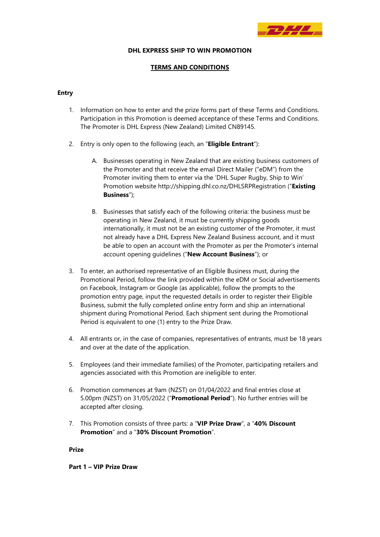

#### **DHL EXPRESS SHIP TO WIN PROMOTION**

## **TERMS AND CONDITIONS**

## **Entry**

- 1. Information on how to enter and the prize forms part of these Terms and Conditions. Participation in this Promotion is deemed acceptance of these Terms and Conditions. The Promoter is DHL Express (New Zealand) Limited CN89145.
- 2. Entry is only open to the following (each, an "**Eligible Entrant**"):
	- A. Businesses operating in New Zealand that are existing business customers of the Promoter and that receive the email Direct Mailer ("eDM") from the Promoter inviting them to enter via the 'DHL Super Rugby, Ship to Win' Promotion website http://shipping.dhl.co.nz/DHLSRPRegistration ("**Existing Business**");
	- B. Businesses that satisfy each of the following criteria: the business must be operating in New Zealand, it must be currently shipping goods internationally, it must not be an existing customer of the Promoter, it must not already have a DHL Express New Zealand Business account, and it must be able to open an account with the Promoter as per the Promoter's internal account opening guidelines ("**New Account Business**"); or
- 3. To enter, an authorised representative of an Eligible Business must, during the Promotional Period, follow the link provided within the eDM or Social advertisements on Facebook, Instagram or Google (as applicable), follow the prompts to the promotion entry page, input the requested details in order to register their Eligible Business, submit the fully completed online entry form and ship an international shipment during Promotional Period. Each shipment sent during the Promotional Period is equivalent to one (1) entry to the Prize Draw.
- 4. All entrants or, in the case of companies, representatives of entrants, must be 18 years and over at the date of the application.
- 5. Employees (and their immediate families) of the Promoter, participating retailers and agencies associated with this Promotion are ineligible to enter.
- 6. Promotion commences at 9am (NZST) on 01/04/2022 and final entries close at 5.00pm (NZST) on 31/05/2022 ("**Promotional Period**"). No further entries will be accepted after closing.
- 7. This Promotion consists of three parts: a "**VIP Prize Draw**", a "**40% Discount Promotion**" and a "**30% Discount Promotion**".

## **Prize**

**Part 1 – VIP Prize Draw**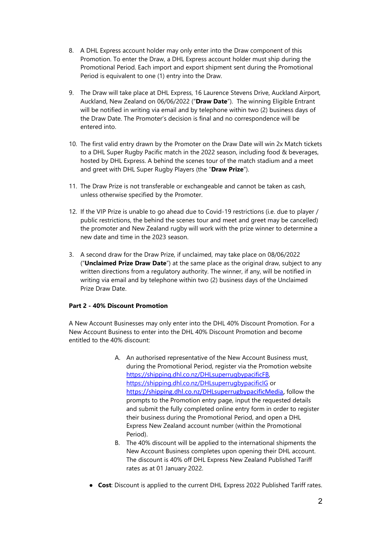- 8. A DHL Express account holder may only enter into the Draw component of this Promotion. To enter the Draw, a DHL Express account holder must ship during the Promotional Period. Each import and export shipment sent during the Promotional Period is equivalent to one (1) entry into the Draw.
- 9. The Draw will take place at DHL Express, 16 Laurence Stevens Drive, Auckland Airport, Auckland, New Zealand on 06/06/2022 ("**Draw Date**"). The winning Eligible Entrant will be notified in writing via email and by telephone within two (2) business days of the Draw Date. The Promoter's decision is final and no correspondence will be entered into.
- 10. The first valid entry drawn by the Promoter on the Draw Date will win 2x Match tickets to a DHL Super Rugby Pacific match in the 2022 season, including food & beverages, hosted by DHL Express. A behind the scenes tour of the match stadium and a meet and greet with DHL Super Rugby Players (the "**Draw Prize**").
- 11. The Draw Prize is not transferable or exchangeable and cannot be taken as cash, unless otherwise specified by the Promoter.
- 12. If the VIP Prize is unable to go ahead due to Covid-19 restrictions (i.e. due to player / public restrictions, the behind the scenes tour and meet and greet may be cancelled) the promoter and New Zealand rugby will work with the prize winner to determine a new date and time in the 2023 season.
- 3. A second draw for the Draw Prize, if unclaimed, may take place on 08/06/2022 ("**Unclaimed Prize Draw Date**") at the same place as the original draw, subject to any written directions from a regulatory authority. The winner, if any, will be notified in writing via email and by telephone within two (2) business days of the Unclaimed Prize Draw Date.

# **Part 2 - 40% Discount Promotion**

A New Account Businesses may only enter into the DHL 40% Discount Promotion. For a New Account Business to enter into the DHL 40% Discount Promotion and become entitled to the 40% discount:

- A. An authorised representative of the New Account Business must, during the Promotional Period, register via the Promotion website [https://shipping.dhl.co.nz/DHLsuperrugbypacificFB,](https://shipping.dhl.co.nz/DHLsuperrugbypacificFB)  <https://shipping.dhl.co.nz/DHLsuperrugbypacificIG> or [https://shipping.dhl.co.nz/DHLsuperrugbypacificMedia,](https://shipping.dhl.co.nz/DHLsuperrugbypacificMedia) follow the prompts to the Promotion entry page, input the requested details and submit the fully completed online entry form in order to register their business during the Promotional Period, and open a DHL Express New Zealand account number (within the Promotional Period).
- B. The 40% discount will be applied to the international shipments the New Account Business completes upon opening their DHL account. The discount is 40% off DHL Express New Zealand Published Tariff rates as at 01 January 2022.
- **Cost**: Discount is applied to the current DHL Express 2022 Published Tariff rates.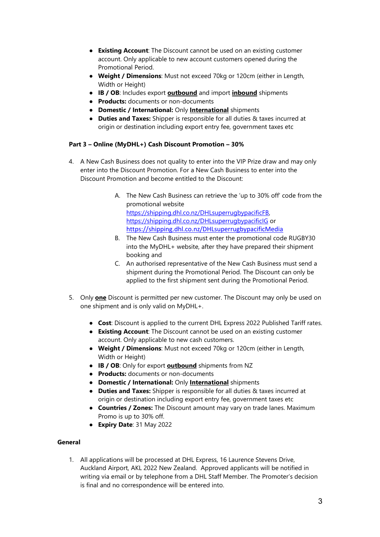- **Existing Account**: The Discount cannot be used on an existing customer account. Only applicable to new account customers opened during the Promotional Period.
- **Weight / Dimensions**: Must not exceed 70kg or 120cm (either in Length, Width or Height)
- **IB / OB**: Includes export **outbound** and import **inbound** shipments
- **Products:** documents or non-documents
- **Domestic / International:** Only **International** shipments
- **Duties and Taxes:** Shipper is responsible for all duties & taxes incurred at origin or destination including export entry fee, government taxes etc

# **Part 3 – Online (MyDHL+) Cash Discount Promotion – 30%**

- 4. A New Cash Business does not quality to enter into the VIP Prize draw and may only enter into the Discount Promotion. For a New Cash Business to enter into the Discount Promotion and become entitled to the Discount:
	- A. The New Cash Business can retrieve the 'up to 30% off' code from the promotional website [https://shipping.dhl.co.nz/DHLsuperrugbypacificFB,](https://shipping.dhl.co.nz/DHLsuperrugbypacificFB)  <https://shipping.dhl.co.nz/DHLsuperrugbypacificIG> or <https://shipping.dhl.co.nz/DHLsuperrugbypacificMedia>
	- B. The New Cash Business must enter the promotional code RUGBY30 into the MyDHL+ website, after they have prepared their shipment booking and
	- C. An authorised representative of the New Cash Business must send a shipment during the Promotional Period. The Discount can only be applied to the first shipment sent during the Promotional Period.
- 5. Only **one** Discount is permitted per new customer. The Discount may only be used on one shipment and is only valid on MyDHL+.
	- **Cost**: Discount is applied to the current DHL Express 2022 Published Tariff rates.
	- **Existing Account**: The Discount cannot be used on an existing customer account. Only applicable to new cash customers.
	- **Weight / Dimensions**: Must not exceed 70kg or 120cm (either in Length, Width or Height)
	- **IB / OB**: Only for export **outbound** shipments from NZ
	- **Products:** documents or non-documents
	- **Domestic / International:** Only **International** shipments
	- **Duties and Taxes:** Shipper is responsible for all duties & taxes incurred at origin or destination including export entry fee, government taxes etc
	- **Countries / Zones:** The Discount amount may vary on trade lanes. Maximum Promo is up to 30% off.
	- **Expiry Date**: 31 May 2022

# **General**

1. All applications will be processed at DHL Express, 16 Laurence Stevens Drive, Auckland Airport, AKL 2022 New Zealand. Approved applicants will be notified in writing via email or by telephone from a DHL Staff Member. The Promoter's decision is final and no correspondence will be entered into.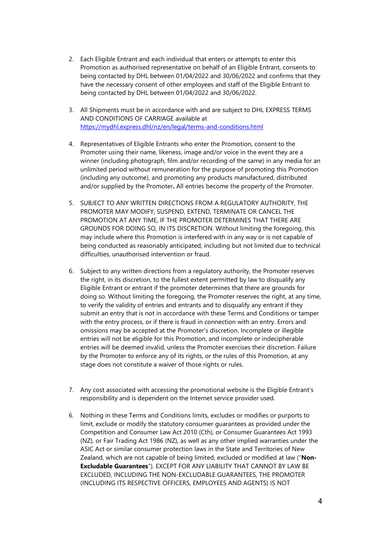- 2. Each Eligible Entrant and each individual that enters or attempts to enter this Promotion as authorised representative on behalf of an Eligible Entrant, consents to being contacted by DHL between 01/04/2022 and 30/06/2022 and confirms that they have the necessary consent of other employees and staff of the Eligible Entrant to being contacted by DHL between 01/04/2022 and 30/06/2022.
- 3. All Shipments must be in accordance with and are subject to DHL EXPRESS TERMS AND CONDITIONS OF CARRIAGE available at <https://mydhl.express.dhl/nz/en/legal/terms-and-conditions.html>
- 4. Representatives of Eligible Entrants who enter the Promotion, consent to the Promoter using their name, likeness, image and/or voice in the event they are a winner (including photograph, film and/or recording of the same) in any media for an unlimited period without remuneration for the purpose of promoting this Promotion (including any outcome), and promoting any products manufactured, distributed and/or supplied by the Promoter**.** All entries become the property of the Promoter.
- 5. SUBJECT TO ANY WRITTEN DIRECTIONS FROM A REGULATORY AUTHORITY, THE PROMOTER MAY MODIFY, SUSPEND, EXTEND, TERMINATE OR CANCEL THE PROMOTION AT ANY TIME, IF THE PROMOTER DETERMINES THAT THERE ARE GROUNDS FOR DOING SO, IN ITS DISCRETION. Without limiting the foregoing, this may include where this Promotion is interfered with in any way or is not capable of being conducted as reasonably anticipated, including but not limited due to technical difficulties, unauthorised intervention or fraud.
- 6. Subject to any written directions from a regulatory authority, the Promoter reserves the right, in its discretion, to the fullest extent permitted by law to disqualify any Eligible Entrant or entrant if the promoter determines that there are grounds for doing so. Without limiting the foregoing, the Promoter reserves the right, at any time, to verify the validity of entries and entrants and to disqualify any entrant if they submit an entry that is not in accordance with these Terms and Conditions or tamper with the entry process, or if there is fraud in connection with an entry. Errors and omissions may be accepted at the Promoter's discretion. Incomplete or illegible entries will not be eligible for this Promotion, and incomplete or indecipherable entries will be deemed invalid, unless the Promoter exercises their discretion. Failure by the Promoter to enforce any of its rights, or the rules of this Promotion, at any stage does not constitute a waiver of those rights or rules.
- 7. Any cost associated with accessing the promotional website is the Eligible Entrant's responsibility and is dependent on the Internet service provider used.
- 6. Nothing in these Terms and Conditions limits, excludes or modifies or purports to limit, exclude or modify the statutory consumer guarantees as provided under the Competition and Consumer Law Act 2010 (Cth), or Consumer Guarantees Act 1993 (NZ), or Fair Trading Act 1986 (NZ), as well as any other implied warranties under the ASIC Act or similar consumer protection laws in the State and Territories of New Zealand, which are not capable of being limited, excluded or modified at law ("**Non-Excludable Guarantees**"). EXCEPT FOR ANY LIABILITY THAT CANNOT BY LAW BE EXCLUDED, INCLUDING THE NON-EXCLUDABLE GUARANTEES, THE PROMOTER (INCLUDING ITS RESPECTIVE OFFICERS, EMPLOYEES AND AGENTS) IS NOT